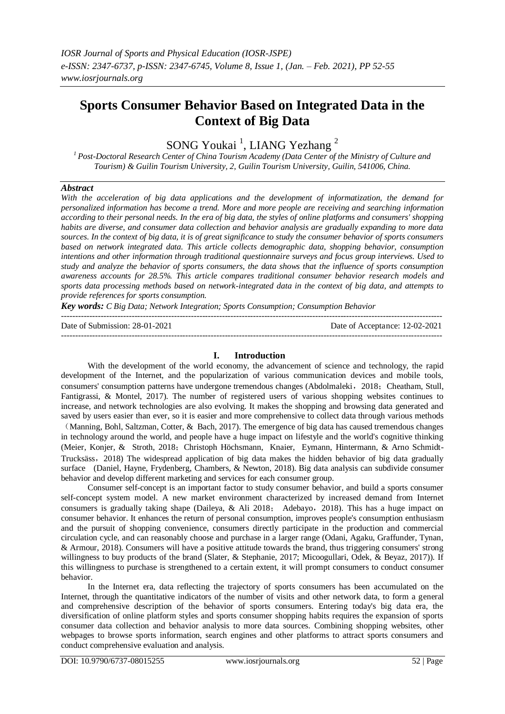# **Sports Consumer Behavior Based on Integrated Data in the Context of Big Data**

SONG Youkai<sup>1</sup>, LIANG Yezhang<sup>2</sup>

*<sup>1</sup>Post-Doctoral Research Center of China Tourism Academy (Data Center of the Ministry of Culture and Tourism) & Guilin Tourism University, 2, Guilin Tourism University, Guilin, 541006, China.*

# *Abstract*

*With the acceleration of big data applications and the development of informatization, the demand for personalized information has become a trend. More and more people are receiving and searching information according to their personal needs. In the era of big data, the styles of online platforms and consumers' shopping habits are diverse, and consumer data collection and behavior analysis are gradually expanding to more data sources. In the context of big data, it is of great significance to study the consumer behavior of sports consumers based on network integrated data. This article collects demographic data, shopping behavior, consumption intentions and other information through traditional questionnaire surveys and focus group interviews. Used to study and analyze the behavior of sports consumers, the data shows that the influence of sports consumption awareness accounts for 28.5%. This article compares traditional consumer behavior research models and sports data processing methods based on network-integrated data in the context of big data, and attempts to provide references for sports consumption.*

*Key words: C Big Data; Network Integration; Sports Consumption; Consumption Behavior*

| Date of Submission: 28-01-2021 | Date of Acceptance: 12-02-2021 |
|--------------------------------|--------------------------------|
|                                |                                |

# **I. Introduction**

With the development of the world economy, the advancement of science and technology, the rapid development of the Internet, and the popularization of various communication devices and mobile tools, consumers' consumption patterns have undergone tremendous changes (Abdolmaleki, 2018; Cheatham, Stull, Fantigrassi, & Montel, 2017). The number of registered users of various shopping websites continues to increase, and network technologies are also evolving. It makes the shopping and browsing data generated and saved by users easier than ever, so it is easier and more comprehensive to collect data through various methods

(Manning, Bohl, Saltzman, Cotter, & Bach, 2017). The emergence of big data has caused tremendous changes in technology around the world, and people have a huge impact on lifestyle and the world's cognitive thinking (Meier, Konjer, & Stroth, 2018; Christoph Höchsmann, Knaier, Eymann, Hintermann, & Arno Schmidt-Trucksäss,2018) The widespread application of big data makes the hidden behavior of big data gradually surface (Daniel, Hayne, Frydenberg, Chambers, & Newton, 2018). Big data analysis can subdivide consumer behavior and develop different marketing and services for each consumer group.

Consumer self-concept is an important factor to study consumer behavior, and build a sports consumer self-concept system model. A new market environment characterized by increased demand from Internet consumers is gradually taking shape (Daileya, & Ali 2018; Adebayo,2018). This has a huge impact on consumer behavior. It enhances the return of personal consumption, improves people's consumption enthusiasm and the pursuit of shopping convenience, consumers directly participate in the production and commercial circulation cycle, and can reasonably choose and purchase in a larger range (Odani, Agaku, Graffunder, Tynan, & Armour, 2018). Consumers will have a positive attitude towards the brand, thus triggering consumers' strong willingness to buy products of the brand (Slater, & Stephanie, 2017; Micoogullari, Odek, & Beyaz, 2017)). If this willingness to purchase is strengthened to a certain extent, it will prompt consumers to conduct consumer behavior.

In the Internet era, data reflecting the trajectory of sports consumers has been accumulated on the Internet, through the quantitative indicators of the number of visits and other network data, to form a general and comprehensive description of the behavior of sports consumers. Entering today's big data era, the diversification of online platform styles and sports consumer shopping habits requires the expansion of sports consumer data collection and behavior analysis to more data sources. Combining shopping websites, other webpages to browse sports information, search engines and other platforms to attract sports consumers and conduct comprehensive evaluation and analysis.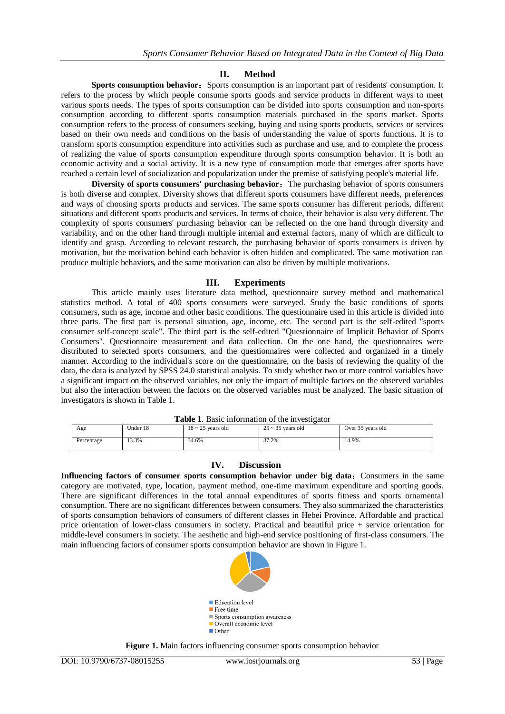# **II. Method**

**Sports consumption behavior:** Sports consumption is an important part of residents' consumption. It refers to the process by which people consume sports goods and service products in different ways to meet various sports needs. The types of sports consumption can be divided into sports consumption and non-sports consumption according to different sports consumption materials purchased in the sports market. Sports consumption refers to the process of consumers seeking, buying and using sports products, services or services based on their own needs and conditions on the basis of understanding the value of sports functions. It is to transform sports consumption expenditure into activities such as purchase and use, and to complete the process of realizing the value of sports consumption expenditure through sports consumption behavior. It is both an economic activity and a social activity. It is a new type of consumption mode that emerges after sports have reached a certain level of socialization and popularization under the premise of satisfying people's material life.

**Diversity of sports consumers' purchasing behavior:** The purchasing behavior of sports consumers is both diverse and complex. Diversity shows that different sports consumers have different needs, preferences and ways of choosing sports products and services. The same sports consumer has different periods, different situations and different sports products and services. In terms of choice, their behavior is also very different. The complexity of sports consumers' purchasing behavior can be reflected on the one hand through diversity and variability, and on the other hand through multiple internal and external factors, many of which are difficult to identify and grasp. According to relevant research, the purchasing behavior of sports consumers is driven by motivation, but the motivation behind each behavior is often hidden and complicated. The same motivation can produce multiple behaviors, and the same motivation can also be driven by multiple motivations.

# **III. Experiments**

This article mainly uses literature data method, questionnaire survey method and mathematical statistics method. A total of 400 sports consumers were surveyed. Study the basic conditions of sports consumers, such as age, income and other basic conditions. The questionnaire used in this article is divided into three parts. The first part is personal situation, age, income, etc. The second part is the self-edited "sports consumer self-concept scale". The third part is the self-edited "Questionnaire of Implicit Behavior of Sports Consumers". Questionnaire measurement and data collection. On the one hand, the questionnaires were distributed to selected sports consumers, and the questionnaires were collected and organized in a timely manner. According to the individual's score on the questionnaire, on the basis of reviewing the quality of the data, the data is analyzed by SPSS 24.0 statistical analysis. To study whether two or more control variables have a significant impact on the observed variables, not only the impact of multiple factors on the observed variables but also the interaction between the factors on the observed variables must be analyzed. The basic situation of investigators is shown in Table 1.

| <b>Table 1.</b> Basic information of the investigator |          |                        |                        |                   |  |  |
|-------------------------------------------------------|----------|------------------------|------------------------|-------------------|--|--|
| Age                                                   | Under 18 | $18 \sim 25$ vears old | $25 \sim 35$ vears old | Over 35 years old |  |  |
| Percentage                                            | 13.3%    | 34.6%                  | 37.2%                  | 14.9%             |  |  |

# **Table 1**. Basic information of the investigator

## **IV. Discussion**

**Influencing factors of consumer sports consumption behavior under big data:** Consumers in the same category are motivated, type, location, payment method, one-time maximum expenditure and sporting goods. There are significant differences in the total annual expenditures of sports fitness and sports ornamental consumption. There are no significant differences between consumers. They also summarized the characteristics of sports consumption behaviors of consumers of different classes in Hebei Province. Affordable and practical price orientation of lower-class consumers in society. Practical and beautiful price + service orientation for middle-level consumers in society. The aesthetic and high-end service positioning of first-class consumers. The main influencing factors of consumer sports consumption behavior are shown in Figure 1.



**Figure 1.** Main factors influencing consumer sports consumption behavior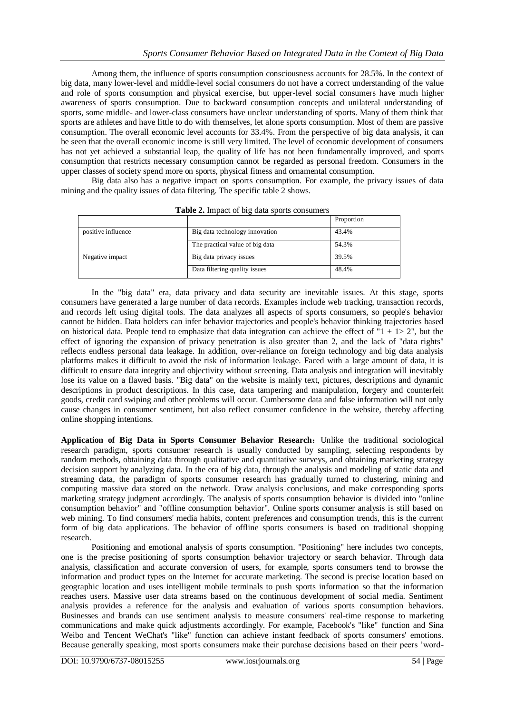Among them, the influence of sports consumption consciousness accounts for 28.5%. In the context of big data, many lower-level and middle-level social consumers do not have a correct understanding of the value and role of sports consumption and physical exercise, but upper-level social consumers have much higher awareness of sports consumption. Due to backward consumption concepts and unilateral understanding of sports, some middle- and lower-class consumers have unclear understanding of sports. Many of them think that sports are athletes and have little to do with themselves, let alone sports consumption. Most of them are passive consumption. The overall economic level accounts for 33.4%. From the perspective of big data analysis, it can be seen that the overall economic income is still very limited. The level of economic development of consumers has not yet achieved a substantial leap, the quality of life has not been fundamentally improved, and sports consumption that restricts necessary consumption cannot be regarded as personal freedom. Consumers in the upper classes of society spend more on sports, physical fitness and ornamental consumption.

Big data also has a negative impact on sports consumption. For example, the privacy issues of data mining and the quality issues of data filtering. The specific table 2 shows.

|                                 | Proportion |
|---------------------------------|------------|
| Big data technology innovation  | 43.4%      |
| The practical value of big data | 54.3%      |
| Big data privacy issues         | 39.5%      |
| Data filtering quality issues   | 48.4%      |
|                                 |            |

**Table 2.** Impact of big data sports consumers

In the "big data" era, data privacy and data security are inevitable issues. At this stage, sports consumers have generated a large number of data records. Examples include web tracking, transaction records, and records left using digital tools. The data analyzes all aspects of sports consumers, so people's behavior cannot be hidden. Data holders can infer behavior trajectories and people's behavior thinking trajectories based on historical data. People tend to emphasize that data integration can achieve the effect of " $1 + 1 > 2$ ", but the effect of ignoring the expansion of privacy penetration is also greater than 2, and the lack of "data rights" reflects endless personal data leakage. In addition, over-reliance on foreign technology and big data analysis platforms makes it difficult to avoid the risk of information leakage. Faced with a large amount of data, it is difficult to ensure data integrity and objectivity without screening. Data analysis and integration will inevitably lose its value on a flawed basis. "Big data" on the website is mainly text, pictures, descriptions and dynamic descriptions in product descriptions. In this case, data tampering and manipulation, forgery and counterfeit goods, credit card swiping and other problems will occur. Cumbersome data and false information will not only cause changes in consumer sentiment, but also reflect consumer confidence in the website, thereby affecting online shopping intentions.

**Application of Big Data in Sports Consumer Behavior Research**:Unlike the traditional sociological research paradigm, sports consumer research is usually conducted by sampling, selecting respondents by random methods, obtaining data through qualitative and quantitative surveys, and obtaining marketing strategy decision support by analyzing data. In the era of big data, through the analysis and modeling of static data and streaming data, the paradigm of sports consumer research has gradually turned to clustering, mining and computing massive data stored on the network. Draw analysis conclusions, and make corresponding sports marketing strategy judgment accordingly. The analysis of sports consumption behavior is divided into "online consumption behavior" and "offline consumption behavior". Online sports consumer analysis is still based on web mining. To find consumers' media habits, content preferences and consumption trends, this is the current form of big data applications. The behavior of offline sports consumers is based on traditional shopping research.

Positioning and emotional analysis of sports consumption. "Positioning" here includes two concepts, one is the precise positioning of sports consumption behavior trajectory or search behavior. Through data analysis, classification and accurate conversion of users, for example, sports consumers tend to browse the information and product types on the Internet for accurate marketing. The second is precise location based on geographic location and uses intelligent mobile terminals to push sports information so that the information reaches users. Massive user data streams based on the continuous development of social media. Sentiment analysis provides a reference for the analysis and evaluation of various sports consumption behaviors. Businesses and brands can use sentiment analysis to measure consumers' real-time response to marketing communications and make quick adjustments accordingly. For example, Facebook's "like" function and Sina Weibo and Tencent WeChat's "like" function can achieve instant feedback of sports consumers' emotions. Because generally speaking, most sports consumers make their purchase decisions based on their peers 'word